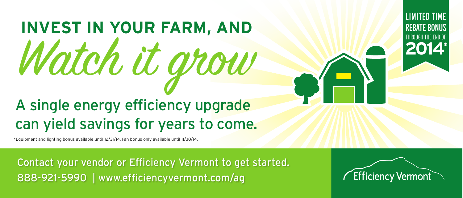## **INVEST IN YOUR FARM, AND** Watch it grow A single energy efficiency upgrade can yield savings for years to come.

LIMITED TIME REBATE BONUS THROUGH THE END OF **2014**

\*Equipment and lighting bonus available until 12/31/14. Fan bonus only available until 11/30/14.

Contact your vendor or Efficiency Vermont to get started. 888-921-5990 | www.efficiencyvermont.com/ag